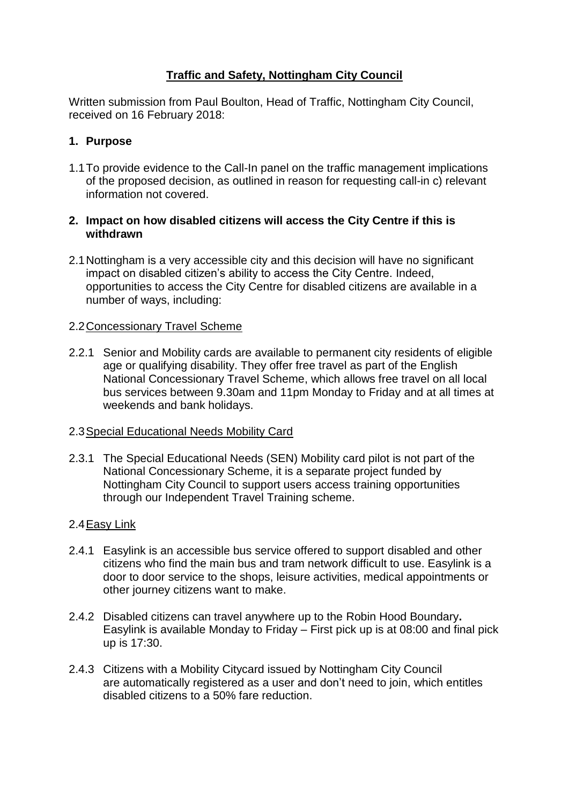# **Traffic and Safety, Nottingham City Council**

Written submission from Paul Boulton, Head of Traffic, Nottingham City Council, received on 16 February 2018:

# **1. Purpose**

1.1To provide evidence to the Call-In panel on the traffic management implications of the proposed decision, as outlined in reason for requesting call-in c) relevant information not covered.

## **2. Impact on how disabled citizens will access the City Centre if this is withdrawn**

2.1Nottingham is a very accessible city and this decision will have no significant impact on disabled citizen's ability to access the City Centre. Indeed, opportunities to access the City Centre for disabled citizens are available in a number of ways, including:

### 2.2Concessionary Travel Scheme

2.2.1 Senior and Mobility cards are available to permanent city residents of eligible age or qualifying disability. They offer free travel as part of the English National Concessionary Travel Scheme, which allows free travel on all local bus services between 9.30am and 11pm Monday to Friday and at all times at weekends and bank holidays.

### 2.3Special Educational Needs Mobility Card

2.3.1 The Special Educational Needs (SEN) Mobility card pilot is not part of the National Concessionary Scheme, it is a separate project funded by Nottingham City Council to support users access training opportunities through our Independent Travel Training scheme.

### 2.4Easy Link

- 2.4.1 Easylink is an accessible bus service offered to support disabled and other citizens who find the main bus and tram network difficult to use. Easylink is a door to door service to the shops, leisure activities, medical appointments or other journey citizens want to make.
- 2.4.2 Disabled citizens can travel anywhere up to the [Robin Hood Boundary](http://www.ct4nottingham.co.uk/wp-content/uploads/2017/08/robin-hood-map.pdf)**.** Easylink is available Monday to Friday – First pick up is at 08:00 and final pick up is 17:30.
- 2.4.3 Citizens with a Mobility Citycard issued by Nottingham City Council are automatically registered as a user and don't need to join, which entitles disabled citizens to a 50% fare reduction.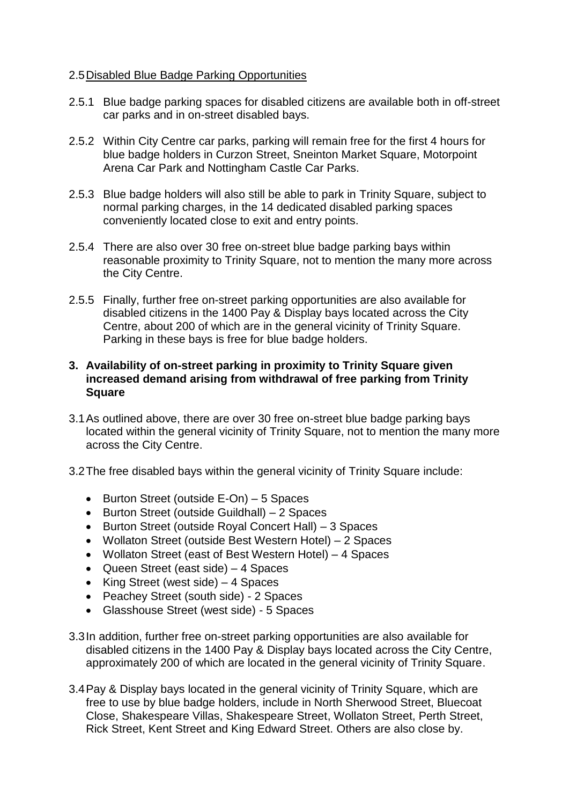### 2.5Disabled Blue Badge Parking Opportunities

- 2.5.1 Blue badge parking spaces for disabled citizens are available both in off-street car parks and in on-street disabled bays.
- 2.5.2 Within City Centre car parks, parking will remain free for the first 4 hours for blue badge holders in Curzon Street, Sneinton Market Square, Motorpoint Arena Car Park and Nottingham Castle Car Parks.
- 2.5.3 Blue badge holders will also still be able to park in Trinity Square, subject to normal parking charges, in the 14 dedicated disabled parking spaces conveniently located close to exit and entry points.
- 2.5.4 There are also over 30 free on-street blue badge parking bays within reasonable proximity to Trinity Square, not to mention the many more across the City Centre.
- 2.5.5 Finally, further free on-street parking opportunities are also available for disabled citizens in the 1400 Pay & Display bays located across the City Centre, about 200 of which are in the general vicinity of Trinity Square. Parking in these bays is free for blue badge holders.

### **3. Availability of on-street parking in proximity to Trinity Square given increased demand arising from withdrawal of free parking from Trinity Square**

- 3.1As outlined above, there are over 30 free on-street blue badge parking bays located within the general vicinity of Trinity Square, not to mention the many more across the City Centre.
- 3.2The free disabled bays within the general vicinity of Trinity Square include:
	- $\bullet$  Burton Street (outside E-On) 5 Spaces
	- Burton Street (outside Guildhall) 2 Spaces
	- Burton Street (outside Royal Concert Hall) 3 Spaces
	- Wollaton Street (outside Best Western Hotel) 2 Spaces
	- Wollaton Street (east of Best Western Hotel) 4 Spaces
	- Queen Street (east side) 4 Spaces
	- King Street (west side)  $-4$  Spaces
	- Peachey Street (south side) 2 Spaces
	- Glasshouse Street (west side) 5 Spaces
- 3.3In addition, further free on-street parking opportunities are also available for disabled citizens in the 1400 Pay & Display bays located across the City Centre, approximately 200 of which are located in the general vicinity of Trinity Square.
- 3.4Pay & Display bays located in the general vicinity of Trinity Square, which are free to use by blue badge holders, include in North Sherwood Street, Bluecoat Close, Shakespeare Villas, Shakespeare Street, Wollaton Street, Perth Street, Rick Street, Kent Street and King Edward Street. Others are also close by.